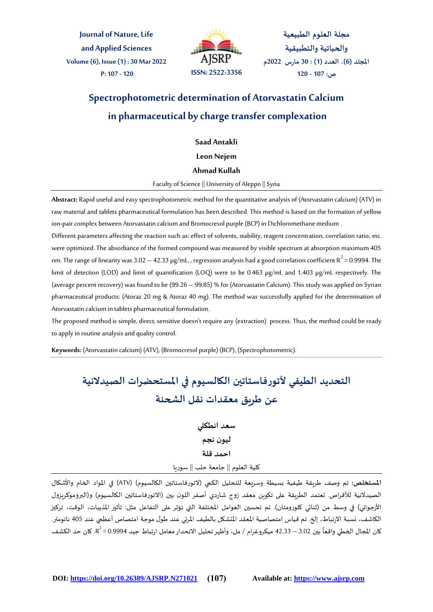**Journal of Nature, Life and Applied Sciences Volume (6), Issue (1) : 30 Mar 2022 P: 107 - 120 ISSN: 2522-3356**



**مجلة العلوم الطبيعية والحياتية والتطبيقية املجلد )6(، العدد )1( : 30 مارس 2022م ص: 107 - 120**

# **Spectrophotometric determination of Atorvastatin Calcium in pharmaceutical by charge transfer complexation**

**Saad Antakli**

**Leon Nejem**

## **Ahmad Kullah**

Faculty of Science || University of Aleppo || Syria

**Abstract:** Rapid useful and easy spectrophotometric method for the quantitative analysis of (Atorvastatin calcium) (ATV) in raw material and tablets pharmaceutical formulation has been described. This method is based on the formation of yellow ion-pair complex between Atorvastatin calcium and Bromocresol purple (BCP) in Dichloromethane medium .

Different parameters affecting the reaction such as: effect of solvents, stability, reagent concentration, correlation ratio, etc. were optimized. The absorbance of the formed compound was measured by visible spectrum at absorption maximum 405 nm. The range of linearity was 3.02  $-$  42.33 µg/mL, , regression analysis had a good correlation coefficient R $^2$  = 0.9994. The limit of detection (LOD) and limit of quantification (LOQ) were to be 0.463 µg/mL and 1.403 µg/mL respectively. The (average percent recovery) was found to be (99.26 – 99.85) % for (Atorvastatin Calcium). This study was applied on Syrian pharmaceutical products: (Atoraz 20 mg & Atoraz 40 mg). The method was successfully applied for the determination of Atorvastatin calcium in tablets pharmaceutical formulation.

The proposed method is simple, direct, sensitive doesn't require any (extraction) process. Thus, the method could be ready to apply in routine analysis and quality control.

**Keywords:** (Atorvastatin calcium) (ATV), (Bromocresol purple) (BCP), (Spectrophotometric).

# **التحديد الطيفي ألتورفاستاتين الكالسيوم في املستحضرات الصيدالنية عن طريق معقدات نقل الشحنة**

**سعد انطكلي ليون نجم احمد قلة** كلية العلوم || جامعة حلب || سوريا

**املستخلص:** تم وصف طريقة طيفية بسيطة وسريعة للتحليل الكمي )التورفاستاتين الكالسيوم( )ATV )في املواد الخام واألشكال الصيدلانية للأقراص. تعتمد الطريقة على تكوين معقد زوج شاردي أصفر اللون بين (الاتورفاستاتين الكالسيوم) و(البروموكريزول الأرجواني) في وسط من (ثنائي كلورومتان). تم تحسين العوامل المختلفة التي تؤثر على التفاعل مثل: تأثير المذيبات، الوقت، تركيز الكاشف، نسبة الارتباط، إلخ. تم قياس امتصاصية المعقد المتشكل بالطيف المرئي عند طول موجة امتصاص أعظمي عند 405 نانومتر. كان المجال الخطي واقعاً بين 3.02 – 42.33 ميكروغرام / مل، وأظهر تحليل الانحدار معامل ارتباط جيد 0.9994 = R2. كان حد الكشف ً<br>آ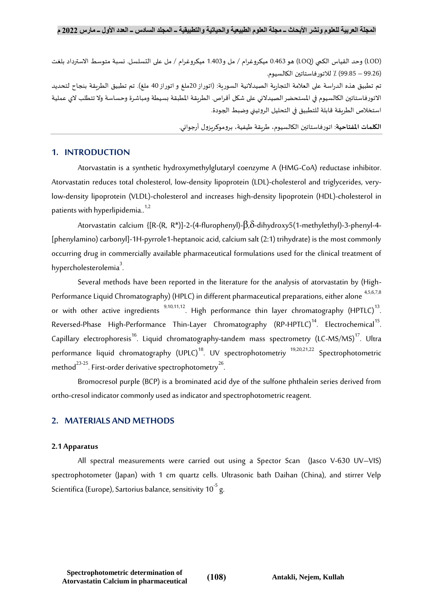)LOD )وحد القياس الكمي )LOQ )هو 0.463 ميكروغرام / مل و1.403 ميكروغرام / مل على التسلسل. نسبة متوسط االسترداد بلغت )99.26 – 99.85( ٪ لالتورفاستاتين الكالسيوم.

تم تطبيق هذه الدراسة على العلامة التجارية الصيدلانية السورية: (اتوراز 20ملغ و اتوراز 40 ملغ). تم تطبيق الطريقة بنجاح لتحديد االتورفاستاتين الكالسيوم في املستحضرالصيدالني على شكل أقراص. الطريقة املطبقة بسيطة ومباشرة وحساسة وال تتطلب الي عملية استخالص الطريقة قابلة للتطبيق في التحليل الروتيني وضبط الجودة.

**الكلمات املفتاحية**: اتورفاستاتين الكالسيوم، طريقة طيفية، بروموكريزول أرجواني.

## **1. INTRODUCTION**

Atorvastatin is a synthetic hydroxymethylglutaryl coenzyme A (HMG-CoA) reductase inhibitor. Atorvastatin reduces total cholesterol, low-density lipoprotein (LDL)-cholesterol and triglycerides, verylow-density lipoprotein (VLDL)-cholesterol and increases high-density lipoprotein (HDL)-cholesterol in patients with hyperlipidemia. $1,2$ 

Atorvastatin calcium {[R-(R, R\*)]-2-(4-flurophenyl)-β,δ-dihydroxy5(1-methylethyl)-3-phenyl-4- [phenylamino) carbonyl]-1H-pyrrole1-heptanoic acid, calcium salt (2:1) trihydrate} is the most commonly occurring drug in commercially available pharmaceutical formulations used for the clinical treatment of hypercholesterolemia $3$ . .

Several methods have been reported in the literature for the analysis of atorvastatin by (High-Performance Liquid Chromatography) (HPLC) in different pharmaceutical preparations, either alone <sup>4,5,6,7,8</sup> or with other active ingredients  $^{9,10,11,12}$ . High performance thin layer chromatography (HPTLC) $^{13}$ . Reversed-Phase High-Performance Thin-Layer Chromatography (RP-HPTLC) $^{14}$ . Electrochemical $^{15}$ . Capillary electrophoresis<sup>16</sup>. Liquid chromatography-tandem mass spectrometry (LC-MS/MS)<sup>17</sup>. Ultra performance liquid chromatography (UPLC)<sup>18</sup>. UV spectrophotometriy <sup>19,20,21,22</sup> Spectrophotometric method<sup>23-25</sup>. First-order derivative spectrophotometry<sup>26</sup>. .

Bromocresol purple (BCP) is a brominated acid dye of the sulfone phthalein series derived from ortho-cresol indicator commonly used as indicator and spectrophotometric reagent.

# **2. MATERIALS AND METHODS**

#### **2.1 Apparatus**

All spectral measurements were carried out using a Spector Scan (Jasco V-630 UV–VIS) spectrophotometer (Japan) with 1 cm quartz cells. Ultrasonic bath Daihan (China), and stirrer Velp Scientifica (Europe), Sartorius balance, sensitivity 10 $^{\rm 5}$  g.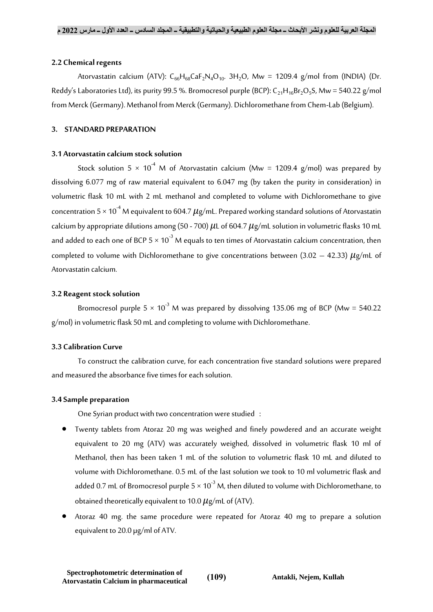## **2.2 Chemical regents**

Atorvastatin calcium (ATV):  $C_{66}H_{68}CaF_2N_4O_{10}$ . 3H<sub>2</sub>O, Mw = 1209.4 g/mol from (INDIA) (Dr. Reddy's Laboratories Ltd), its purity 99.5 %. Bromocresol purple (BCP):  $C_{21}H_{16}Br_2O_5S$ , Mw = 540.22 g/mol from Merck (Germany). Methanol from Merck (Germany). Dichloromethane from Chem-Lab (Belgium).

## **3. STANDARD PREPARATION**

## **3.1 Atorvastatin calcium stock solution**

Stock solution 5  $\times$  10<sup>-4</sup> M of Atorvastatin calcium (Mw = 1209.4 g/mol) was prepared by dissolving 6.077 mg of raw material equivalent to 6.047 mg (by taken the purity in consideration) in volumetric flask 10 mL with 2 mL methanol and completed to volume with Dichloromethane to give concentration  $5 \times 10^{-4}$  M equivalent to 604.7  $\mu$ g/mL. Prepared working standard solutions of Atorvastatin calcium by appropriate dilutions among (50 - 700)  $\mu$ L of 604.7  $\mu$ g/mL solution in volumetric flasks 10 mL and added to each one of BCP 5  $\times$  10<sup>-3</sup> M equals to ten times of Atorvastatin calcium concentration, then completed to volume with Dichloromethane to give concentrations between (3.02 – 42.33)  $\mu$ g/mL of Atorvastatin calcium.

## **3.2 Reagent stock solution**

Bromocresol purple  $5 \times 10^{-3}$  M was prepared by dissolving 135.06 mg of BCP (Mw = 540.22) g/mol) in volumetric flask 50 mL and completing to volume with Dichloromethane.

# **3.3 Calibration Curve**

To construct the calibration curve, for each concentration five standard solutions were prepared and measured the absorbance five times for each solution.

# **3.4 Sample preparation**

One Syrian product with two concentration were studied :

- Twenty tablets from Atoraz 20 mg was weighed and finely powdered and an accurate weight equivalent to 20 mg (ATV) was accurately weighed, dissolved in volumetric flask 10 ml of Methanol, then has been taken 1 mL of the solution to volumetric flask 10 mL and diluted to volume with Dichloromethane. 0.5 mL of the last solution we took to 10 ml volumetric flask and added 0.7 mL of Bromocresol purple  $5 \times 10^{-3}$  M, then diluted to volume with Dichloromethane, to obtained theoretically equivalent to 10.0  $\mu$ g/mL of (ATV).
- Atoraz 40 mg. the same procedure were repeated for Atoraz 40 mg to prepare a solution equivalent to 20.0 µg/ml of ATV.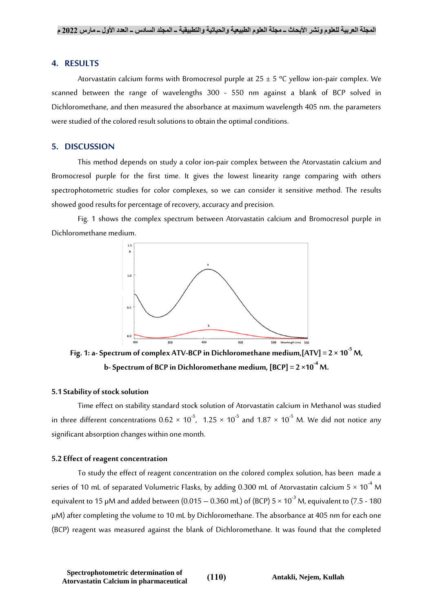## **4. RESULTS**

Atorvastatin calcium forms with Bromocresol purple at  $25 \pm 5$  °C yellow ion-pair complex. We scanned between the range of wavelengths 300 - 550 nm against a blank of BCP solved in Dichloromethane, and then measured the absorbance at maximum wavelength 405 nm. the parameters were studied of the colored result solutions to obtain the optimal conditions.

#### **5. DISCUSSION**

This method depends on study a color ion-pair complex between the Atorvastatin calcium and Bromocresol purple for the first time. It gives the lowest linearity range comparing with others spectrophotometric studies for color complexes, so we can consider it sensitive method. The results showed good results for percentage of recovery, accuracy and precision.

Fig. 1 shows the complex spectrum between Atorvastatin calcium and Bromocresol purple in Dichloromethane medium.



Fig. 1: a-Spectrum of complex ATV-BCP in Dichloromethane medium,  $[ATV] = 2 \times 10^{-5}$  M, **b**-Spectrum of BCP in Dichloromethane medium,  $[BCP] = 2 \times 10^{-4}$  M.

#### **5.1 Stability of stock solution**

Time effect on stability standard stock solution of Atorvastatin calcium in Methanol was studied in three different concentrations  $0.62 \times 10^{-5}$ ,  $1.25 \times 10^{-5}$  and  $1.87 \times 10^{-5}$  M. We did not notice any significant absorption changes within one month.

#### **5.2 Effect of reagent concentration**

To study the effect of reagent concentration on the colored complex solution, has been made a series of 10 mL of separated Volumetric Flasks, by adding 0.300 mL of Atorvastatin calcium  $5 \times 10^{-4}$  M equivalent to 15  $\mu$ M and added between (0.015 – 0.360 mL) of (BCP) 5  $\times$  10<sup>-3</sup> M, equivalent to (7.5 - 180 µM) after completing the volume to 10 mL by Dichloromethane. The absorbance at 405 nm for each one (BCP) reagent was measured against the blank of Dichloromethane. It was found that the completed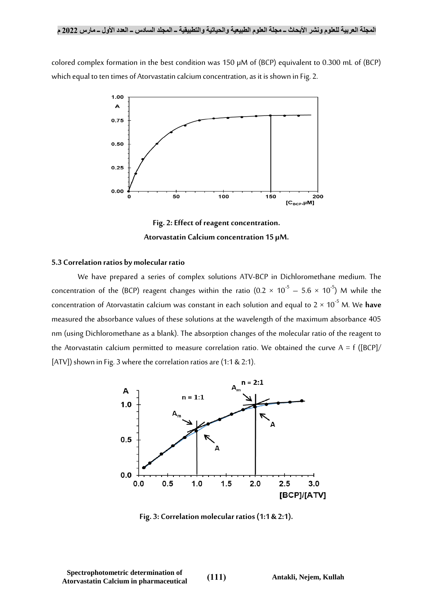colored complex formation in the best condition was 150 µM of (BCP) equivalent to 0.300 mL of (BCP) which equal to ten times of Atorvastatin calcium concentration, as it is shown in Fig. 2.



**Fig. 2: Effect of reagent concentration. Atorvastatin Calcium concentration 15 µM.**

#### **5.3 Correlation ratios by molecular ratio**

We have prepared a series of complex solutions ATV-BCP in Dichloromethane medium. The concentration of the (BCP) reagent changes within the ratio (0.2  $\times$  10<sup>-5</sup>  $-$  5.6  $\times$  10<sup>-5</sup>) M while the concentration of Atorvastatin calcium was constant in each solution and equal to  $2 \times 10^{-5}$  M. We **have** measured the absorbance values of these solutions at the wavelength of the maximum absorbance 405 nm (using Dichloromethane as a blank). The absorption changes of the molecular ratio of the reagent to the Atorvastatin calcium permitted to measure correlation ratio. We obtained the curve  $A = f ([BCP])$ [ATV]) shown in Fig. 3 where the correlation ratios are (1:1 & 2:1).



**Fig. 3: Correlation molecular ratios (1:1 & 2:1).**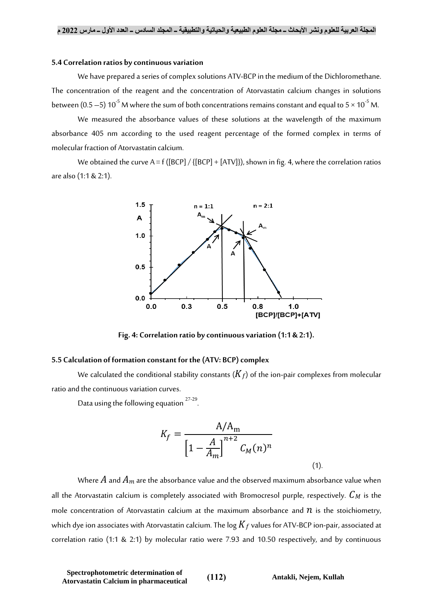### **5.4 Correlation ratios by continuous variation**

We have prepared a series of complex solutions ATV-BCP in the medium of the Dichloromethane. The concentration of the reagent and the concentration of Atorvastatin calcium changes in solutions between (0.5 – 5) 10<sup>-5</sup> M where the sum of both concentrations remains constant and equal to 5  $\times$  10<sup>-5</sup> M.

We measured the absorbance values of these solutions at the wavelength of the maximum absorbance 405 nm according to the used reagent percentage of the formed complex in terms of molecular fraction of Atorvastatin calcium.

We obtained the curve  $A = f([BCP] / {[BCP] + [ATV]}),$  shown in fig. 4, where the correlation ratios are also (1:1 & 2:1).



**Fig. 4: Correlation ratio by continuous variation (1:1 & 2:1).**

#### **5.5 Calculation of formation constant for the (ATV: BCP) complex**

We calculated the conditional stability constants  $(K_f)$  of the ion-pair complexes from molecular ratio and the continuous variation curves.

.

Data using the following equation  $27-29$ .

$$
K_f = \frac{A/A_m}{\left[1 - \frac{A}{A_m}\right]^{n+2} C_M(n)^n}
$$

Where  $A$  and  $A_m$  are the absorbance value and the observed maximum absorbance value when all the Atorvastatin calcium is completely associated with Bromocresol purple, respectively.  $C_M$  is the mole concentration of Atorvastatin calcium at the maximum absorbance and  $n$  is the stoichiometry, which dye ion associates with Atorvastatin calcium. The log  $K_f$  values for ATV-BCP ion-pair, associated at correlation ratio (1:1 & 2:1) by molecular ratio were 7.93 and 10.50 respectively, and by continuous

 $(1).$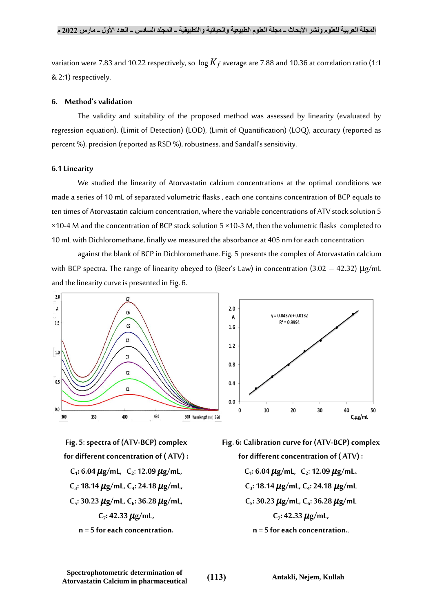variation were 7.83 and 10.22 respectively, so  $\log K_f$  average are 7.88 and 10.36 at correlation ratio (1:1 & 2:1) respectively.

### **6. Method's validation**

The validity and suitability of the proposed method was assessed by linearity (evaluated by regression equation), (Limit of Detection) (LOD), (Limit of Quantification) (LOQ), accuracy (reported as percent %), precision (reported as RSD %), robustness, and Sandall's sensitivity.

#### **6.1 Linearity**

We studied the linearity of Atorvastatin calcium concentrations at the optimal conditions we made a series of 10 mL of separated volumetric flasks , each one contains concentration of BCP equals to ten times of Atorvastatin calcium concentration, where the variable concentrations of ATV stock solution 5 ×10-4 M and the concentration of BCP stock solution 5 ×10-3 M, then the volumetric flasks completed to 10 mL with Dichloromethane, finally we measured the absorbance at 405 nm for each concentration

against the blank of BCP in Dichloromethane. Fig. 5 presents the complex of Atorvastatin calcium with BCP spectra. The range of linearity obeyed to (Beer's Law) in concentration (3.02 – 42.32) μg/mL and the linearity curve is presented in Fig. 6.



**Fig. 5: spectra of (ATV-BCP) complex for different concentration of ( ATV) :**  $C_1$ : 6.04  $\mu$ g/mL,  $C_2$ : 12.09  $\mu$ g/mL, **C3 : 18.14 g/mL, C<sup>4</sup> : 24.18 g/mL, C5 : 30.23 g/mL, C<sup>6</sup> : 36.28 g/mL, C7 : 42.33 g/mL, n = 5 for each concentration.**

**Fig. 6: Calibration curve for (ATV-BCP) complex for different concentration of ( ATV) :**  $C_1$ : 6.04  $\mu$ g/mL,  $C_2$ : 12.09  $\mu$ g/mL.  $C_3$ : 18.14  $\mu$ g/mL,  $C_4$ : 24.18  $\mu$ g/mL **C5 : 30.23 g/mL, C<sup>6</sup> : 36.28 g/mL C7 : 42.33 g/mL, n = 5 for each concentration..**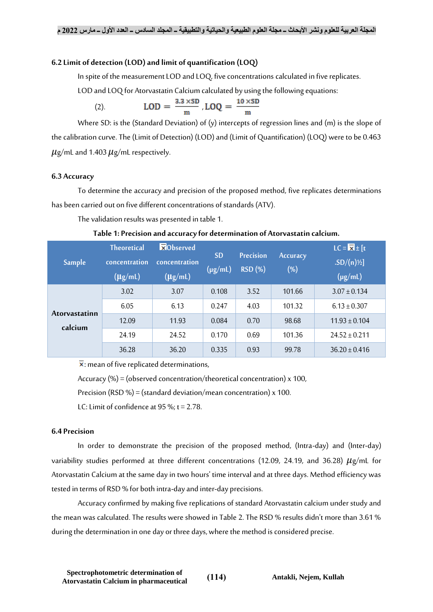## **6.2 Limit of detection (LOD) and limit of quantification (LOQ)**

In spite of the measurement LOD and LOQ, five concentrations calculated in five replicates.

LOD and LOQ for Atorvastatin Calcium calculated by using the following equations:

(2). 
$$
LOD = \frac{3.3 \times SD}{m}
$$
,  $LOQ = \frac{10 \times SD}{m}$ 

Where SD: is the (Standard Deviation) of (y) intercepts of regression lines and (m) is the slope of the calibration curve. The (Limit of Detection) (LOD) and (Limit of Quantification) (LOQ) were to be 0.463  $\mu$ g/mL and 1.403  $\mu$ g/mL respectively.

#### **6.3 Accuracy**

To determine the accuracy and precision of the proposed method, five replicates determinations has been carried out on five different concentrations of standards (ATV).

The validation results was presented in table 1.

| Sample                          | <b>Theoretical</b><br>concentration<br>$(\mu$ g/mL) | <b>xObserved</b><br>concentration<br>$(\mu$ g/mL) | <b>SD</b><br>$(\mu g/mL)$ | <b>Precision</b><br><b>RSD</b> (%) | <b>Accuracy</b><br>$(\%)$ | $LC = \overline{\mathbf{X}} \pm [t]$<br>$SD/(n)\frac{1}{2}$<br>$(\mu g/mL)$ |
|---------------------------------|-----------------------------------------------------|---------------------------------------------------|---------------------------|------------------------------------|---------------------------|-----------------------------------------------------------------------------|
| <b>Atorvastatinn</b><br>calcium | 3.02                                                | 3.07                                              | 0.108                     | 3.52                               | 101.66                    | $3.07 \pm 0.134$                                                            |
|                                 | 6.05                                                | 6.13                                              | 0.247                     | 4.03                               | 101.32                    | $6.13 \pm 0.307$                                                            |
|                                 | 12.09                                               | 11.93                                             | 0.084                     | 0.70                               | 98.68                     | $11.93 \pm 0.104$                                                           |
|                                 | 24.19                                               | 24.52                                             | 0.170                     | 0.69                               | 101.36                    | $24.52 \pm 0.211$                                                           |
|                                 | 36.28                                               | 36.20                                             | 0.335                     | 0.93                               | 99.78                     | $36.20 \pm 0.416$                                                           |

|  | Table 1: Precision and accuracy for determination of Atorvastatin calcium. |  |  |  |  |
|--|----------------------------------------------------------------------------|--|--|--|--|
|--|----------------------------------------------------------------------------|--|--|--|--|

 $\overline{\mathbf{x}}$ : mean of five replicated determinations,

Accuracy (%) = (observed concentration/theoretical concentration)  $x$  100,

Precision (RSD %) = (standard deviation/mean concentration)  $x$  100.

LC: Limit of confidence at 95 %;  $t = 2.78$ .

#### **6.4 Precision**

In order to demonstrate the precision of the proposed method, (Intra-day) and (Inter-day) variability studies performed at three different concentrations (12.09, 24.19, and 36.28)  $\mu$ g/mL for Atorvastatin Calcium at the same day in two hours' time interval and at three days. Method efficiency was tested in terms of RSD % for both intra-day and inter-day precisions.

Accuracy confirmed by making five replications of standard Atorvastatin calcium under study and the mean was calculated. The results were showed in Table 2. The RSD % results didn't more than 3.61 % during the determination in one day or three days, where the method is considered precise.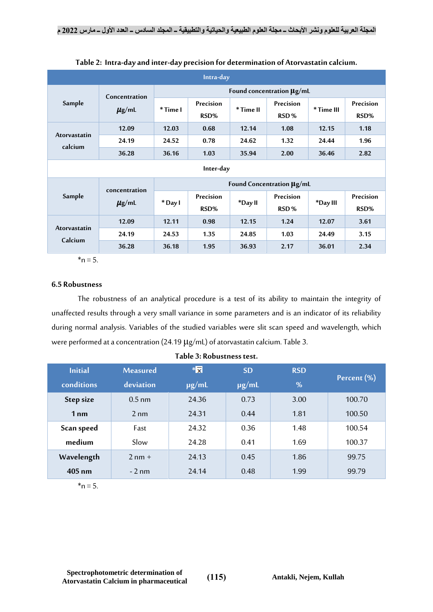| Intra-day               |                             |                           |                   |           |                   |            |                   |  |
|-------------------------|-----------------------------|---------------------------|-------------------|-----------|-------------------|------------|-------------------|--|
|                         | Concentration<br>$\mu$ g/mL | Found concentration µg/mL |                   |           |                   |            |                   |  |
| Sample                  |                             | * Time I                  | Precision<br>RSD% | * Time II | Precision<br>RSD% | * Time III | Precision<br>RSD% |  |
|                         | 12.09                       | 12.03                     | 0.68              | 12.14     | 1.08              | 12.15      | 1.18              |  |
| Atorvastatin            | 24.19                       | 24.52                     | 0.78              | 24.62     | 1.32              | 24.44      | 1.96              |  |
| calcium                 | 36.28                       | 36.16                     | 1.03              | 35.94     | 2.00              | 36.46      | 2.82              |  |
|                         | Inter-day                   |                           |                   |           |                   |            |                   |  |
|                         | concentration               | Found Concentration µg/mL |                   |           |                   |            |                   |  |
| Sample                  | $\mu$ g/mL                  | * Day I                   | Precision<br>RSD% | *Day II   | Precision<br>RSD% | *Day III   | Precision<br>RSD% |  |
| Atorvastatin<br>Calcium | 12.09                       | 12.11                     | 0.98              | 12.15     | 1.24              | 12.07      | 3.61              |  |
|                         | 24.19                       | 24.53                     | 1.35              | 24.85     | 1.03              | 24.49      | 3.15              |  |
|                         | 36.28                       | 36.18                     | 1.95              | 36.93     | 2.17              | 36.01      | 2.34              |  |

**Table 2: Intra-day and inter-day precision for determination of Atorvastatin calcium.**

 $n = 5$ 

# **6.5 Robustness**

The robustness of an analytical procedure is a test of its ability to maintain the integrity of unaffected results through a very small variance in some parameters and is an indicator of its reliability during normal analysis. Variables of the studied variables were slit scan speed and wavelength, which were performed at a concentration (24.19 μg/mL) of atorvastatin calcium. Table 3.

| <b>Initial</b>  | <b>Measured</b> | $* \overline{\mathbf{x}}$ | <b>SD</b>  | <b>RSD</b> |             |
|-----------------|-----------------|---------------------------|------------|------------|-------------|
| conditions      | deviation       | $\mu$ g/mL                | $\mu$ g/mL | %          | Percent (%) |
| Step size       | $0.5$ nm        | 24.36                     | 0.73       | 3.00       | 100.70      |
| 1 <sub>nm</sub> | $2 \text{ nm}$  | 24.31                     | 0.44       | 1.81       | 100.50      |
| Scan speed      | Fast            | 24.32                     | 0.36       | 1.48       | 100.54      |
| medium          | Slow            | 24.28                     | 0.41       | 1.69       | 100.37      |
| Wavelength      | $2$ nm $+$      | 24.13                     | 0.45       | 1.86       | 99.75       |
| $405$ nm        | $-2$ nm         | 24.14                     | 0.48       | 1.99       | 99.79       |

**Table 3: Robustness test.**

 $*<sub>n</sub> = 5$ .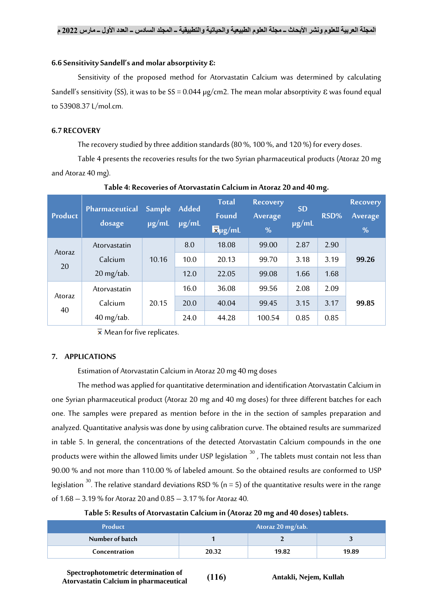## **6.6 Sensitivity Sandell'sand molar absorptivity ε:**

Sensitivity of the proposed method for Atorvastatin Calcium was determined by calculating Sandell's sensitivity (SS), it was to be SS = 0.044 µg/cm2. The mean molar absorptivity ε was found equal to 53908.37 L/mol.cm.

## **6.7 RECOVERY**

The recovery studied by three addition standards (80 %, 100 %, and 120 %) for every doses.

Table 4 presents the recoveries results for the two Syrian pharmaceutical products (Atoraz 20 mg and Atoraz 40 mg).

| <b>Product</b> | Pharmaceutical<br>dosage | Sample<br>$\mu$ g/mL | <b>Added</b><br>$\mu$ g/mL | <b>Total</b><br><b>Found</b><br>$\overline{\mathbf{x}}$ µg/mL | <b>Recovery</b><br>Average<br>% | <b>SD</b><br>$\mu$ g/mL | RSD% | <b>Recovery</b><br>Average<br>% |
|----------------|--------------------------|----------------------|----------------------------|---------------------------------------------------------------|---------------------------------|-------------------------|------|---------------------------------|
| Atoraz<br>20   | Atorvastatin             |                      | 8.0                        | 18.08                                                         | 99.00                           | 2.87                    | 2.90 |                                 |
|                | Calcium                  | 10.16                | 10.0                       | 20.13                                                         | 99.70                           | 3.18                    | 3.19 | 99.26                           |
|                | $20$ mg/tab.             |                      | 12.0                       | 22.05                                                         | 99.08                           | 1.66                    | 1.68 |                                 |
| Atoraz<br>40   | Atorvastatin             |                      | 16.0                       | 36.08                                                         | 99.56                           | 2.08                    | 2.09 |                                 |
|                | Calcium                  | 20.15                | 20.0                       | 40.04                                                         | 99.45                           | 3.15                    | 3.17 | 99.85                           |
|                | $40$ mg/tab.             |                      | 24.0                       | 44.28                                                         | 100.54                          | 0.85                    | 0.85 |                                 |

## **Table 4: Recoveries of Atorvastatin Calcium in Atoraz 20 and 40 mg.**

 $\bar{x}$  Mean for five replicates.

# **7. APPLICATIONS**

Estimation of Atorvastatin Calcium in Atoraz 20 mg 40 mg doses

The method was applied for quantitative determination and identification Atorvastatin Calcium in one Syrian pharmaceutical product (Atoraz 20 mg and 40 mg doses) for three different batches for each one. The samples were prepared as mention before in the in the section of samples preparation and analyzed. Quantitative analysis was done by using calibration curve. The obtained results are summarized in table 5. In general, the concentrations of the detected Atorvastatin Calcium compounds in the one products were within the allowed limits under USP legislation  $30$ , The tablets must contain not less than 90.00 % and not more than 110.00 % of labeled amount. So the obtained results are conformed to USP legislation  $^{30}$ . The relative standard deviations RSD % (n = 5) of the quantitative results were in the range of 1.68 – 3.19 % for Atoraz 20 and 0.85 – 3.17 % for Atoraz 40.

| <b>Product</b>  | Atoraz 20 mg/tab. |       |       |
|-----------------|-------------------|-------|-------|
| Number of batch |                   |       |       |
| Concentration   | 20.32             | 19.82 | 19.89 |

**Spectrophotometric determination of Atorvastatin Calcium in pharmaceutical )116( Antakli, Nejem, Kullah**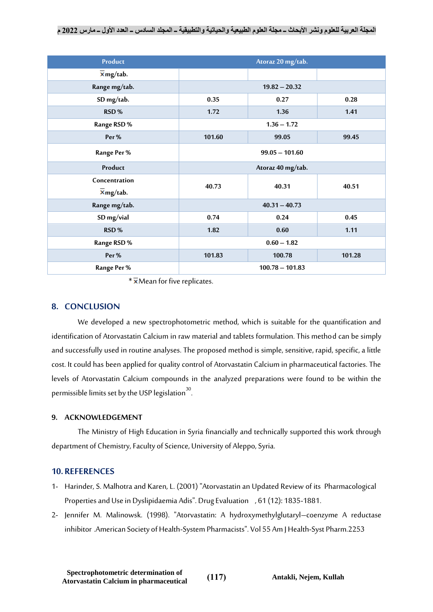| Product                                          |                          | Atoraz 20 mg/tab. |        |  |
|--------------------------------------------------|--------------------------|-------------------|--------|--|
| $\overline{\mathbf{x}}$ mg/tab.                  |                          |                   |        |  |
| Range mg/tab.                                    |                          |                   |        |  |
| SD mg/tab.                                       | 0.35                     | 0.27              | 0.28   |  |
| RSD%                                             | 1.72                     | 1.36              | 1.41   |  |
| Range RSD %                                      |                          | $1.36 - 1.72$     |        |  |
| Per%                                             | 101.60<br>99.05<br>99.45 |                   |        |  |
| Range Per %                                      | $99.05 - 101.60$         |                   |        |  |
| Product                                          | Atoraz 40 mg/tab.        |                   |        |  |
| Concentration<br>$\overline{\mathbf{x}}$ mg/tab. | 40.73                    | 40.31             | 40.51  |  |
| Range mg/tab.                                    |                          | $40.31 - 40.73$   |        |  |
| SD mg/vial                                       | 0.74                     | 0.24              | 0.45   |  |
| RSD%                                             | 1.82                     | 0.60              | 1.11   |  |
| Range RSD %                                      | $0.60 - 1.82$            |                   |        |  |
| Per%                                             | 101.83                   | 100.78            | 101.28 |  |
| Range Per %                                      | $100.78 - 101.83$        |                   |        |  |

 $*\overline{\mathbf{x}}$ Mean for five replicates.

# **8. CONCLUSION**

We developed a new spectrophotometric method, which is suitable for the quantification and identification of Atorvastatin Calcium in raw material and tablets formulation. This method can be simply and successfully used in routine analyses. The proposed method is simple, sensitive, rapid, specific, a little cost. It could has been applied for quality control of Atorvastatin Calcium in pharmaceutical factories. The levels of Atorvastatin Calcium compounds in the analyzed preparations were found to be within the permissible limits set by the USP legislation<sup>30</sup>. .

## **9. ACKNOWLEDGEMENT**

The Ministry of High Education in Syria financially and technically supported this work through department of Chemistry, Faculty of Science, University of Aleppo, Syria.

# **10. REFERENCES**

- 1- Harinder, S. Malhotra and Karen, L. (2001) "Atorvastatin an Updated Review of its Pharmacological Properties and Use in Dyslipidaemia Adis". Drug Evaluation , 61 (12): 1835-1881.
- 2- Jennifer M. Malinowsk. (1998). "Atorvastatin: A hydroxymethylglutaryl–coenzyme A reductase inhibitor .American Society of Health-System Pharmacists". Vol 55 Am J Health-Syst Pharm.2253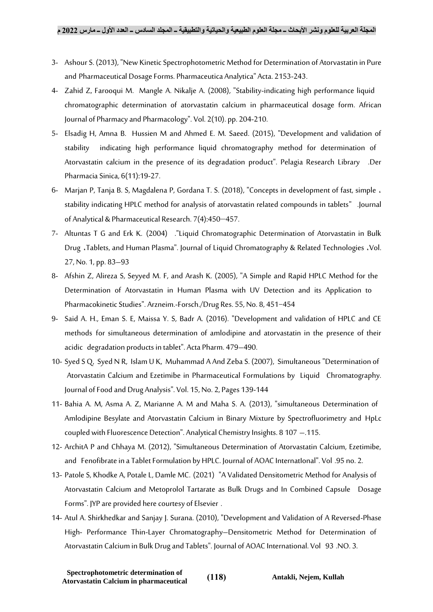- 3- Ashour S. (2013), "New Kinetic Spectrophotometric Method for Determination of Atorvastatin in Pure and Pharmaceutical Dosage Forms. Pharmaceutica Analytica" Acta. 2153-243.
- 4- Zahid Z, Farooqui M. Mangle A. Nikalje A. (2008), "Stability-indicating high performance liquid chromatographic determination of atorvastatin calcium in pharmaceutical dosage form. African Journal of Pharmacy and Pharmacology". Vol. 2(10). pp. 204-210.
- 5- Elsadig H, Amna B. Hussien M and Ahmed E. M. Saeed. (2015), "Development and validation of stability indicating high performance liquid chromatography method for determination of Atorvastatin calcium in the presence of its degradation product". Pelagia Research Library .Der Pharmacia Sinica, 6(11):19-27.
- 6- Marjan P, Tanja B. S, Magdalena P, Gordana T. S. (2018), "Concepts in development of fast, simple ، stability indicating HPLC method for analysis of atorvastatin related compounds in tablets" .Journal of Analytical & Pharmaceutical Research. 7(4):450-457.
- 7- Altuntas T G and Erk K. (2004) ."Liquid Chromatographic Determination of Atorvastatin in Bulk Drug ،Tablets, and Human Plasma". Journal of Liquid Chromatography & Related Technologies ،Vol. 27, No. 1, pp. 83–93
- 8- Afshin Z, Alireza S, Seyyed M. F, and Arash K. (2005), "A Simple and Rapid HPLC Method for the Determination of Atorvastatin in Human Plasma with UV Detection and its Application to Pharmacokinetic Studies". Arzneim.-Forsch./Drug Res. 55, No. 8, 451−454
- 9- Said A. H., Eman S. E, Maissa Y. S, Badr A. (2016). "Development and validation of HPLC and CE methods for simultaneous determination of amlodipine and atorvastatin in the presence of their acidic degradation products in tablet". Acta Pharm. 479–490.
- 10- Syed S Q, Syed N R, Islam U K, Muhammad A And Zeba S. (2007), Simultaneous "Determination of Atorvastatin Calcium and Ezetimibe in Pharmaceutical Formulations by Liquid Chromatography. Journal of Food and Drug Analysis". Vol. 15, No. 2, Pages 139-144
- 11- Bahia A. M, Asma A. Z, Marianne A. M and Maha S. A. (2013), "simultaneous Determination of Amlodipine Besylate and Atorvastatin Calcium in Binary Mixture by Spectrofluorimetry and HpLc coupled with Fluorescence Detection". Analytical Chemistry Insights. 8 107 –.115.
- 12- ArchitA P and Chhaya M. (2012), "Simultaneous Determination of Atorvastatin Calcium, Ezetimibe, and Fenofibrate in a Tablet Formulation by HPLC. Journal of AOAC International". Vol .95 no. 2.
- 13- Patole S, Khodke A, Potale L, Damle MC. (2021) "A Validated Densitometric Method for Analysis of Atorvastatin Calcium and Metoprolol Tartarate as Bulk Drugs and In Combined Capsule Dosage Forms". JYP are provided here courtesy of Elsevier .
- 14- Atul A. Shirkhedkar and Sanjay J. Surana. (2010), "Development and Validation of A Reversed-Phase High- Performance Thin-Layer Chromatography–Densitometric Method for Determination of Atorvastatin Calcium in Bulk Drug and Tablets". Journal of AOAC International. Vol 93 .NO. 3.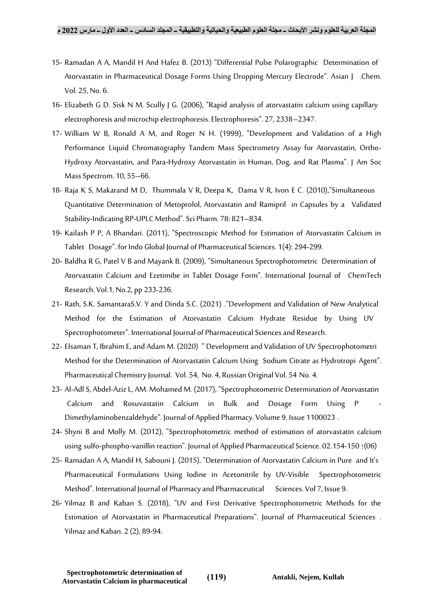- 15- Ramadan A A, Mandil H And Hafez B. (2013) "Differential Pulse Polarographic Determination of Atorvastatin in Pharmaceutical Dosage Forms Using Dropping Mercury Electrode". Asian J .Chem. Vol. 25, No. 6.
- 16- Elizabeth G D. Sisk N M. Scully J G. (2006), "Rapid analysis of atorvastatin calcium using capillary electrophoresis and microchip electrophoresis. Electrophoresis". 27, 2338–2347.
- 17- William W B, Ronald A M, and Roger N H. (1999), "Development and Validation of a High Performance Liquid Chromatography Tandem Mass Spectrometry Assay for Atorvastatin, Ortho-Hydroxy Atorvastatin, and Para-Hydroxy Atorvastatin in Human, Dog, and Rat Plasma". J Am Soc Mass Spectrom. 10, 55–66.
- 18- Raja K S, Makarand M D, Thummala V R, Deepa K, Dama V R, Ivon E C. (2010),"Simultaneous Quantitative Determination of Metoprolol, Atorvastatin and Ramipril in Capsules by a Validated Stability-Indicating RP-UPLC Method". Sci Pharm. 78: 821–834.
- 19- Kailash P P, A Bhandari. (2011), "Spectroscopic Method for Estimation of Atorvastatin Calcium in Tablet Dosage". for Indo Global Journal of Pharmaceutical Sciences. 1(4): 294-299.
- 20- Baldha R G, Patel V B and Mayank B. (2009), "Simultaneous Spectrophotometric Determination of Atorvastatin Calcium and Ezetimibe in Tablet Dosage Form". International Journal of ChemTech Research. Vol.1, No.2, pp 233-236.
- 21- Rath, S.K. SamantaraS.V. Y and Dinda S.C. (2021) ."Development and Validation of New Analytical Method for the Estimation of Atorvastatin Calcium Hydrate Residue by Using UV Spectrophotometer". International Journal of Pharmaceutical Sciences and Research.
- 22- Elsaman T, Ibrahim E, and Adam M. (2020) " Development and Validation of UV Spectrophotometri Method for the Determination of Atorvastatin Calcium Using Sodium Citrate as Hydrotropi Agent". Pharmaceutical Chemistry Journal. Vol. 54, No. 4, Russian Original Vol. 54 No. 4.
- 23- Al-Adl S, Abdel-Aziz L, AM. Mohamed M. (2017), "Spectrophotometric Determination of Atorvastatin Calcium and Rosuvastatin Calcium in Bulk and Dosage Form Using P - Dimethylaminobenzaldehyde". Journal of Applied Pharmacy. Volume 9. Issue 1100023 .
- 24- Shyni B and Molly M. (2012), "Spectrophotometric method of estimation of atorvastatin calcium using sulfo-phospho-vanillin reaction". Journal of Applied Pharmaceutical Science. 02.154-150 :(06)
- 25- Ramadan A A, Mandil H, Sabouni J. (2015), "Determination of Atorvastatin Calcium in Pure and It's Pharmaceutical Formulations Using Iodine in Acetonitrile by UV-Visible Spectrophotometric Method". International Journal of Pharmacy and Pharmaceutical Sciences. Vol 7, Issue 9.
- 26- Yilmaz B and Kaban S. (2018), "UV and First Derivative Spectrophotometric Methods for the Estimation of Atorvastatin in Pharmaceutical Preparations". Journal of Pharmaceutical Sciences . Yilmaz and Kaban. 2 (2), 89-94.